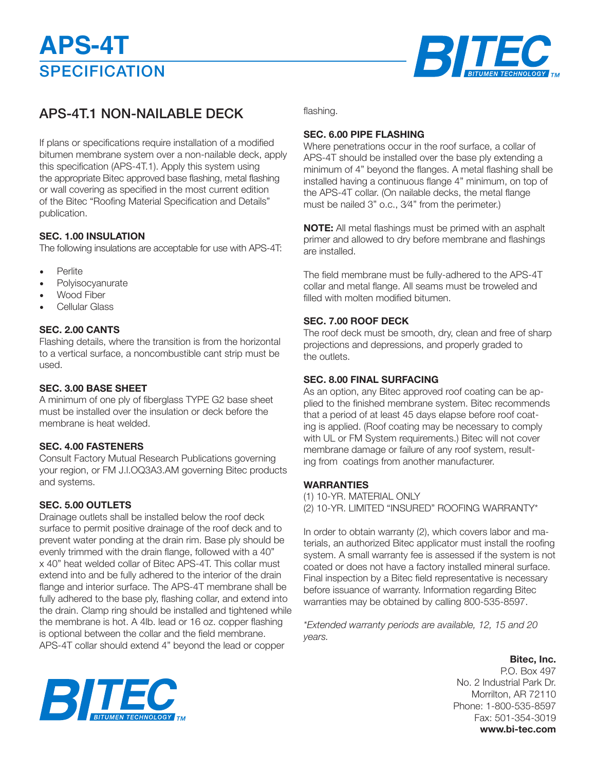

### APS-4T.1 NON-NAILABLE DECK

If plans or specifications require installation of a modified bitumen membrane system over a non-nailable deck, apply this specification (APS-4T.1). Apply this system using the appropriate Bitec approved base flashing, metal flashing or wall covering as specified in the most current edition of the Bitec "Roofing Material Specification and Details" publication.

### **SEC. 1.00 INSULATION**

The following insulations are acceptable for use with APS-4T:

- **Perlite**
- Polyisocyanurate
- Wood Fiber
- Cellular Glass

### **SEC. 2.00 CANTS**

Flashing details, where the transition is from the horizontal to a vertical surface, a noncombustible cant strip must be used.

### **SEC. 3.00 BASE SHEET**

A minimum of one ply of fiberglass TYPE G2 base sheet must be installed over the insulation or deck before the membrane is heat welded.

### **SEC. 4.00 FASTENERS**

Consult Factory Mutual Research Publications governing your region, or FM J.l.OQ3A3.AM governing Bitec products and systems.

### **SEC. 5.00 OUTLETS**

Drainage outlets shall be installed below the roof deck surface to permit positive drainage of the roof deck and to prevent water ponding at the drain rim. Base ply should be evenly trimmed with the drain flange, followed with a 40" x 40" heat welded collar of Bitec APS-4T. This collar must extend into and be fully adhered to the interior of the drain flange and interior surface. The APS-4T membrane shall be fully adhered to the base ply, flashing collar, and extend into the drain. Clamp ring should be installed and tightened while the membrane is hot. A 4lb. lead or 16 oz. copper flashing is optional between the collar and the field membrane. APS-4T collar should extend 4" beyond the lead or copper

flashing.

### **SEC. 6.00 PIPE FLASHING**

Where penetrations occur in the roof surface, a collar of APS-4T should be installed over the base ply extending a minimum of 4" beyond the flanges. A metal flashing shall be installed having a continuous flange 4" minimum, on top of the APS-4T collar. (On nailable decks, the metal flange must be nailed 3" o.c., 3⁄4" from the perimeter.)

**NOTE:** All metal flashings must be primed with an asphalt primer and allowed to dry before membrane and flashings are installed.

The field membrane must be fully-adhered to the APS-4T collar and metal flange. All seams must be troweled and filled with molten modified bitumen.

### **SEC. 7.00 ROOF DECK**

The roof deck must be smooth, dry, clean and free of sharp projections and depressions, and properly graded to the outlets.

### **SEC. 8.00 FINAL SURFACING**

As an option, any Bitec approved roof coating can be applied to the finished membrane system. Bitec recommends that a period of at least 45 days elapse before roof coating is applied. (Roof coating may be necessary to comply with UL or FM System requirements.) Bitec will not cover membrane damage or failure of any roof system, resulting from coatings from another manufacturer.

### **WARRANTIES**

(1) 10-YR. MATERIAL ONLY (2) 10-YR. LIMITED "INSURED" ROOFING WARRANTY\*

In order to obtain warranty (2), which covers labor and materials, an authorized Bitec applicator must install the roofing system. A small warranty fee is assessed if the system is not coated or does not have a factory installed mineral surface. Final inspection by a Bitec field representative is necessary before issuance of warranty. Information regarding Bitec warranties may be obtained by calling 800-535-8597.

*\*Extended warranty periods are available, 12, 15 and 20 years.*

> **Bitec, Inc.** P.O. Box 497 No. 2 Industrial Park Dr. Morrilton, AR 72110 Phone: 1-800-535-8597 Fax: 501-354-3019 **www.bi-tec.com**

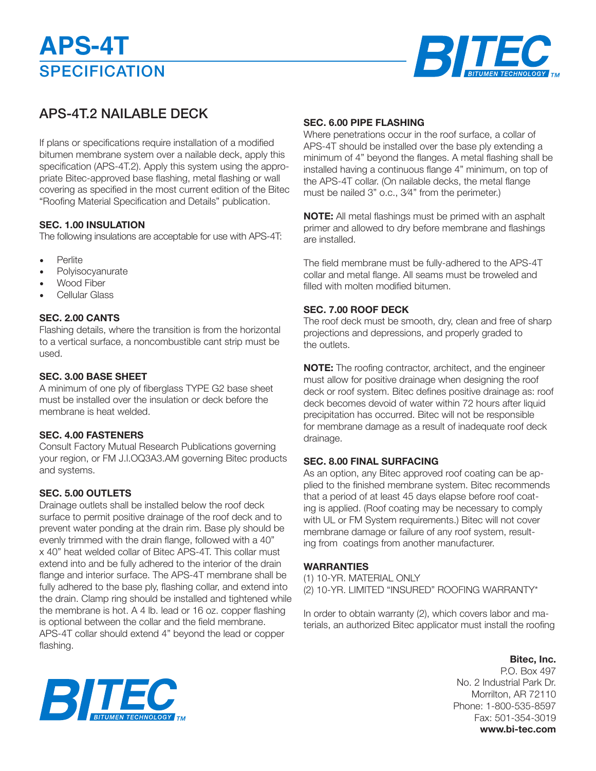# **SPECIFICATION APS-4T**



## APS-4T.2 NAILABLE DECK

If plans or specifications require installation of a modified bitumen membrane system over a nailable deck, apply this specification (APS-4T.2). Apply this system using the appropriate Bitec-approved base flashing, metal flashing or wall covering as specified in the most current edition of the Bitec "Roofing Material Specification and Details" publication.

### **SEC. 1.00 INSULATION**

The following insulations are acceptable for use with APS-4T:

- **Perlite**
- **Polyisocyanurate**
- Wood Fiber
- Cellular Glass

### **SEC. 2.00 CANTS**

Flashing details, where the transition is from the horizontal to a vertical surface, a noncombustible cant strip must be used.

### **SEC. 3.00 BASE SHEET**

A minimum of one ply of fiberglass TYPE G2 base sheet must be installed over the insulation or deck before the membrane is heat welded.

### **SEC. 4.00 FASTENERS**

Consult Factory Mutual Research Publications governing your region, or FM J.l.OQ3A3.AM governing Bitec products and systems.

### **SEC. 5.00 OUTLETS**

Drainage outlets shall be installed below the roof deck surface to permit positive drainage of the roof deck and to prevent water ponding at the drain rim. Base ply should be evenly trimmed with the drain flange, followed with a 40" x 40" heat welded collar of Bitec APS-4T. This collar must extend into and be fully adhered to the interior of the drain flange and interior surface. The APS-4T membrane shall be fully adhered to the base ply, flashing collar, and extend into the drain. Clamp ring should be installed and tightened while the membrane is hot. A 4 lb. lead or 16 oz. copper flashing is optional between the collar and the field membrane. APS-4T collar should extend 4" beyond the lead or copper flashing.

### **SEC. 6.00 PIPE FLASHING**

Where penetrations occur in the roof surface, a collar of APS-4T should be installed over the base ply extending a minimum of 4" beyond the flanges. A metal flashing shall be installed having a continuous flange 4" minimum, on top of the APS-4T collar. (On nailable decks, the metal flange must be nailed 3" o.c., 3⁄4" from the perimeter.)

**NOTE:** All metal flashings must be primed with an asphalt primer and allowed to dry before membrane and flashings are installed.

The field membrane must be fully-adhered to the APS-4T collar and metal flange. All seams must be troweled and filled with molten modified bitumen.

### **SEC. 7.00 ROOF DECK**

The roof deck must be smooth, dry, clean and free of sharp projections and depressions, and properly graded to the outlets.

**NOTE:** The roofing contractor, architect, and the engineer must allow for positive drainage when designing the roof deck or roof system. Bitec defines positive drainage as: roof deck becomes devoid of water within 72 hours after liquid precipitation has occurred. Bitec will not be responsible for membrane damage as a result of inadequate roof deck drainage.

#### **SEC. 8.00 FINAL SURFACING**

As an option, any Bitec approved roof coating can be applied to the finished membrane system. Bitec recommends that a period of at least 45 days elapse before roof coating is applied. (Roof coating may be necessary to comply with UL or FM System requirements.) Bitec will not cover membrane damage or failure of any roof system, resulting from coatings from another manufacturer.

### **WARRANTIES**

(1) 10-YR. MATERIAL ONLY (2) 10-YR. LIMITED "INSURED" ROOFING WARRANTY\*

In order to obtain warranty (2), which covers labor and materials, an authorized Bitec applicator must install the roofing

> **Bitec, Inc.** P.O. Box 497 No. 2 Industrial Park Dr. Morrilton, AR 72110 Phone: 1-800-535-8597 Fax: 501-354-3019 **www.bi-tec.com**